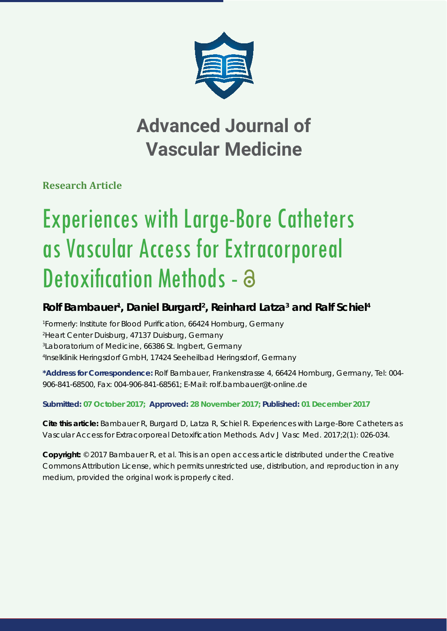

## **Advanced Journal of Vascular Medicine**

**Research Article**

# Experiences with Large-Bore Catheters as Vascular Access for Extracorporeal Detoxification Methods - a

### **Rolf Bambauer1 , Daniel Burgard2 , Reinhard Latza3 and Ralf Schiel4**

 *Formerly: Institute for Blood Purifi cation, 66424 Homburg, Germany Heart Center Duisburg, 47137 Duisburg, Germany Laboratorium of Medicine, 66386 St. Ingbert, Germany Inselklinik Heringsdorf GmbH, 17424 Seeheilbad Heringsdorf, Germany*

**\*Address for Correspondence:** Rolf Bambauer, Frankenstrasse 4, 66424 Homburg, Germany, Tel: 004- 906-841-68500, Fax: 004-906-841-68561; E-Mail: rolf.bambauer@t-online.de

#### **Submitted: 07 October 2017; Approved: 28 November 2017; Published: 01 December 2017**

**Cite this article:** Bambauer R, Burgard D, Latza R, Schiel R. Experiences with Large-Bore Catheters as Vascular Access for Extracorporeal Detoxification Methods. Adv J Vasc Med. 2017;2(1): 026-034.

**Copyright:** © 2017 Bambauer R, et al. This is an open access article distributed under the Creative Commons Attribution License, which permits unrestricted use, distribution, and reproduction in any medium, provided the original work is properly cited.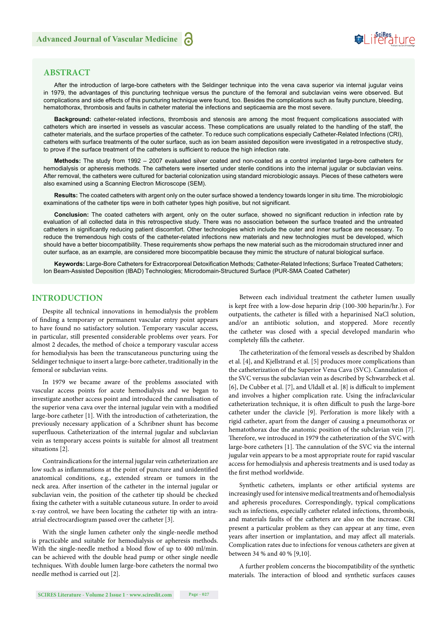

#### **ABSTRACT**

After the introduction of large-bore catheters with the Seldinger technique into the vena cava superior via internal jugular veins in 1979, the advantages of this puncturing technique versus the puncture of the femoral and subclavian veins were observed. But complications and side effects of this puncturing technique were found, too. Besides the complications such as faulty puncture, bleeding, hematothorax, thrombosis and faults in catheter material the infections and septicaemia are the most severe.

**Background:** catheter-related infections, thrombosis and stenosis are among the most frequent complications associated with catheters which are inserted in vessels as vascular access. These complications are usually related to the handling of the staff, the catheter materials, and the surface properties of the catheter. To reduce such complications especially Catheter-Related Infections (CRI), catheters with surface treatments of the outer surface, such as ion beam assisted deposition were investigated in a retrospective study, to prove if the surface treatment of the catheters is sufficient to reduce the high infection rate.

**Methods:** The study from 1992 – 2007 evaluated silver coated and non-coated as a control implanted large-bore catheters for hemodialysis or apheresis methods. The catheters were inserted under sterile conditions into the internal jugular or subclavian veins. After removal, the catheters were cultured for bacterial colonization using standard microbiologic assays. Pieces of these catheters were also examined using a Scanning Electron Microscope (SEM).

**Results:** The coated catheters with argent only on the outer surface showed a tendency towards longer in situ time. The microbiologic examinations of the catheter tips were in both catheter types high positive, but not significant.

Conclusion: The coated catheters with argent, only on the outer surface, showed no significant reduction in infection rate by evaluation of all collected data in this retrospective study. There was no association between the surface treated and the untreated catheters in significantly reducing patient discomfort. Other technologies which include the outer and inner surface are necessary. To reduce the tremendous high costs of the catheter-related infections new materials and new technologies must be developed, which should have a better biocompatibility. These requirements show perhaps the new material such as the microdomain structured inner and outer surface, as an example, are considered more biocompatible because they mimic the structure of natural biological surface.

Keywords: Large-Bore Catheters for Extracorporeal Detoxification Methods; Catheter-Related Infections; Surface Treated Catheters; Ion Beam-Assisted Deposition (IBAD) Technologies; Microdomain-Structured Surface (PUR-SMA Coated Catheter)

#### **INTRODUCTION**

Despite all technical innovations in hemodialysis the problem of finding a temporary or permanent vascular entry point appears to have found no satisfactory solution. Temporary vascular access, in particular, still presented considerable problems over years. For almost 2 decades, the method of choice a temporary vascular access for hemodialysis has been the transcutaneous puncturing using the Seldinger technique to insert a large-bore catheter, traditionally in the femoral or subclavian veins.

In 1979 we became aware of the problems associated with vascular access points for acute hemodialysis and we began to investigate another access point and introduced the cannulisation of the superior vena cava over the internal jugular vein with a modified large-bore catheter [1]. With the introduction of catheterization, the previously necessary application of a Schribner shunt has become superfluous. Catheterization of the internal jugular and subclavian vein as temporary access points is suitable for almost all treatment situations [2].

Contraindications for the internal jugular vein catheterization are low such as inflammations at the point of puncture and unidentified anatomical conditions, e.g., extended stream or tumors in the neck area. After insertion of the catheter in the internal jugular or subclavian vein, the position of the catheter tip should be checked fixing the catheter with a suitable cutaneous suture. In order to avoid x-ray control, we have been locating the catheter tip with an intraatrial electrocardiogram passed over the catheter [3].

With the single lumen catheter only the single-needle method is practicable and suitable for hemodialysis or apheresis methods. With the single-needle method a blood flow of up to 400 ml/min. can be achieved with the double head pump or other single needle techniques. With double lumen large-bore catheters the normal two needle method is carried out [2].

Between each individual treatment the catheter lumen usually is kept free with a low-dose heparin drip (100-300 heparin/hr.). For outpatients, the catheter is filled with a heparinised NaCl solution, and/or an antibiotic solution, and stoppered. More recently the catheter was closed with a special developed mandarin who completely fills the catheter.

The catheterization of the femoral vessels as described by Shaldon et al. [4], and Kjellstrand et al. [5] produces more complications than the catheterization of the Superior Vena Cava (SVC). Cannulation of the SVC versus the subclavian vein as described by Schwarzbeck et al. [6], De Cubber et al. [7], and Uldall et al. [8] is difficult to implement and involves a higher complication rate. Using the infraclavicular catheterization technique, it is often difficult to push the large-bore catheter under the clavicle [9]. Perforation is more likely with a rigid catheter, apart from the danger of causing a pneumothorax or hematothorax due the anatomic position of the subclavian vein [7]. Therefore, we introduced in 1979 the catheterization of the SVC with large-bore catheters [1]. The cannulation of the SVC via the internal jugular vein appears to be a most appropriate route for rapid vascular access for hemodialysis and apheresis treatments and is used today as the first method worldwide.

Synthetic catheters, implants or other artificial systems are increasingly used for intensive medical treatments and of hemodialysis and apheresis procedures. Correspondingly, typical complications such as infections, especially catheter related infections, thrombosis, and materials faults of the catheters are also on the increase. CRI present a particular problem as they can appear at any time, even years after insertion or implantation, and may affect all materials. Complication rates due to infections for venous catheters are given at between 34 % and 40 % [9,10].

A further problem concerns the biocompatibility of the synthetic materials. The interaction of blood and synthetic surfaces causes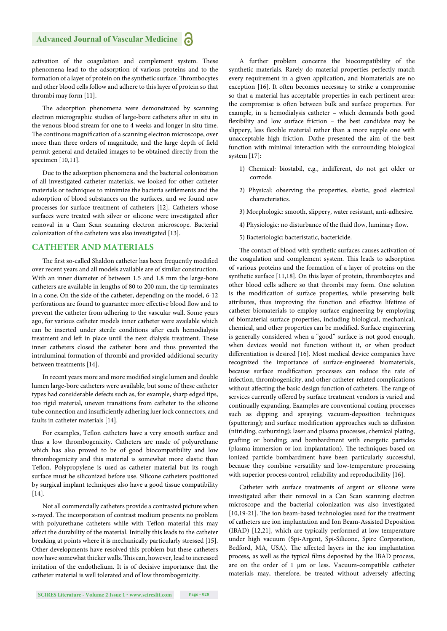activation of the coagulation and complement system. These phenomena lead to the adsorption of various proteins and to the formation of a layer of protein on the synthetic surface. Thrombocytes and other blood cells follow and adhere to this layer of protein so that thrombi may form [11].

The adsorption phenomena were demonstrated by scanning electron micrographic studies of large-bore catheters after in situ in the venous blood stream for one to 4 weeks and longer in situ time. The continous magnification of a scanning electron microscope, over more than three orders of magnitude, and the large depth of field permit general and detailed images to be obtained directly from the specimen [10,11].

Due to the adsorption phenomena and the bacterial colonization of all investigated catheter materials, we looked for other catheter materials or techniques to minimize the bacteria settlements and the adsorption of blood substances on the surfaces, and we found new processes for surface treatment of catheters [12]. Catheters whose surfaces were treated with silver or silicone were investigated after removal in a Cam Scan scanning electron microscope. Bacterial colonization of the catheters was also investigated [13].

#### **CATHETER AND MATERIALS**

The first so-called Shaldon catheter has been frequently modified over recent years and all models available are of similar construction. With an inner diameter of between 1.5 and 1.8 mm the large-bore catheters are available in lengths of 80 to 200 mm, the tip terminates in a cone. On the side of the catheter, depending on the model, 6-12 perforations are found to guarantee more effective blood flow and to prevent the catheter from adhering to the vascular wall. Some years ago, for various catheter models inner catheter were available which can be inserted under sterile conditions after each hemodialysis treatment and left in place until the next dialysis treatment. These inner catheters closed the catheter bore and thus prevented the intraluminal formation of thrombi and provided additional security between treatments [14].

In recent years more and more modified single lumen and double lumen large-bore catheters were available, but some of these catheter types had considerable defects such as, for example, sharp edged tips, too rigid material, uneven transitions from catheter to the silicone tube connection and insufficiently adhering luer lock connectors, and faults in catheter materials [14].

For examples, Teflon catheters have a very smooth surface and thus a low thrombogenicity. Catheters are made of polyurethane which has also proved to be of good biocompatibility and low thrombogenicity and this material is somewhat more elastic than Teflon. Polypropylene is used as catheter material but its rough surface must be siliconized before use. Silicone catheters positioned by surgical implant techniques also have a good tissue compatibility [14].

Not all commercially catheters provide a contrasted picture when x-rayed. The incorporation of contrast medium presents no problem with polyurethane catheters while with Teflon material this may affect the durability of the material. Initially this leads to the catheter breaking at points where it is mechanically particularly stressed [15]. Other developments have resolved this problem but these catheters now have somewhat thicker walls. This can, however, lead to increased irritation of the endothelium. It is of decisive importance that the catheter material is well tolerated and of low thrombogenicity.

A further problem concerns the biocompatibility of the synthetic materials. Rarely do material properties perfectly match every requirement in a given application, and biomaterials are no exception [16]. It often becomes necessary to strike a compromise so that a material has acceptable properties in each pertinent area: the compromise is often between bulk and surface properties. For example, in a hemodialysis catheter – which demands both good flexibility and low surface friction - the best candidate may be slippery, less flexible material rather than a more supple one with unacceptable high friction. Dathe presented the aim of the best function with minimal interaction with the surrounding biological system [17]:

- 1) Chemical: biostabil, e.g., indifferent, do not get older or corrode.
- 2) Physical: observing the properties, elastic, good electrical characteristics.
- 3) Morphologic: smooth, slippery, water resistant, anti-adhesive.
- 4) Physiologic: no disturbance of the fluid flow, luminary flow.
- 5) Bacteriologic: bacteristatic, bactericide.

The contact of blood with synthetic surfaces causes activation of the coagulation and complement system. This leads to adsorption of various proteins and the formation of a layer of proteins on the synthetic surface [11,18]. On this layer of protein, thrombocytes and other blood cells adhere so that thrombi may form. One solution is the modification of surface properties, while preserving bulk attributes, thus improving the function and effective lifetime of catheter biomaterials to employ surface engineering by employing of biomaterial surface properties, including biological, mechanical, chemical, and other properties can be modified. Surface engineering is generally considered when a "good" surface is not good enough, when devices would not function without it, or when product differentiation is desired [16]. Most medical device companies have recognized the importance of surface-engineered biomaterials, because surface modification processes can reduce the rate of infection, thrombogenicity, and other catheter-related complications without affecting the basic design function of catheters. The range of services currently offered by surface treatment vendors is varied and continually expanding. Examples are conventional coating processes such as dipping and spraying; vacuum-deposition techniques (sputtering); and surface modification approaches such as diffusion (nitriding, carburzing); laser and plasma processes, chemical plating, grafting or bonding; and bombardment with energetic particles (plasma immersion or ion implantation). The techniques based on ionized particle bombardment have been particularly successful, because they combine versatility and low-temperature processing with superior process control, reliability and reproducibility [16].

Catheter with surface treatments of argent or silicone were investigated after their removal in a Can Scan scanning electron microscope and the bacterial colonization was also investigated [10,19-21]. The ion beam-based technologies used for the treatment of catheters are ion implantation and Ion Beam-Assisted Deposition (IBAD) [12,21], which are typically performed at low temperature under high vacuum (Spi-Argent, Spi-Silicone, Spire Corporation, Bedford, MA, USA). The affected layers in the ion implantation process, as well as the typical films deposited by the IBAD process, are on the order of 1 μm or less. Vacuum-compatible catheter materials may, therefore, be treated without adversely affecting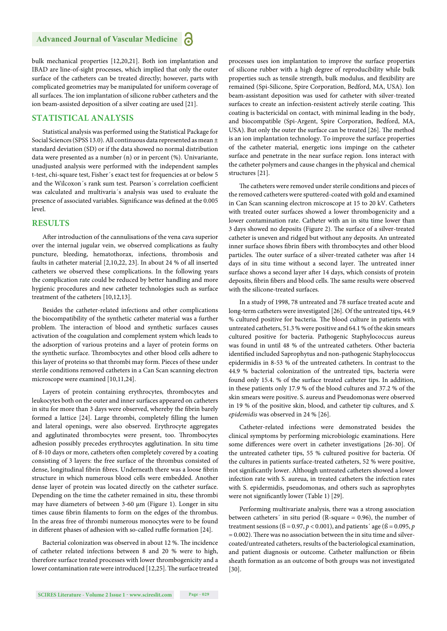bulk mechanical properties [12,20,21]. Both ion implantation and IBAD are line-of-sight processes, which implied that only the outer surface of the catheters can be treated directly; however, parts with complicated geometries may be manipulated for uniform coverage of all surfaces. The ion implantation of silicone rubber catheters and the ion beam-assisted deposition of a silver coating are used [21].

#### **STATISTICAL ANALYSIS**

Statistical analysis was performed using the Statistical Package for Social Sciences (SPSS 13.0). All continuous data represented as mean ± standard deviation (SD) or if the data showed no normal distribution data were presented as a number (n) or in percent (%). Univariante, unadjusted analysis were performed with the independent samples t-test, chi-square test, Fisher´s exact test for frequencies at or below 5 and the Wilcoxon's rank sum test. Pearson's correlation coefficient was calculated and multivaria´s analysis was used to evaluate the presence of associated variables. Significance was defined at the 0.005 level.

#### **RESULTS**

After introduction of the cannulisations of the vena cava superior over the internal jugular vein, we observed complications as faulty puncture, bleeding, hematothorax, infections, thrombosis and faults in catheter material [2,10,22, 23]. In about 24 % of all inserted catheters we observed these complications. In the following years the complication rate could be reduced by better handling and more hygienic procedures and new catheter technologies such as surface treatment of the catheters [10,12,13].

Besides the catheter-related infections and other complications the biocompatibility of the synthetic catheter material was a further problem. The interaction of blood and synthetic surfaces causes activation of the coagulation and complement system which leads to the adsorption of various proteins and a layer of protein forms on the synthetic surface. Thrombocytes and other blood cells adhere to this layer of proteins so that thrombi may form. Pieces of these under sterile conditions removed catheters in a Can Scan scanning electron microscope were examined [10,11,24].

Layers of protein containing erythrocytes, thrombocytes and leukocytes both on the outer and inner surfaces appeared on catheters in situ for more than 3 days were observed, whereby the fibrin barely formed a lattice [24]. Large thrombi, completely filling the lumen and lateral openings, were also observed. Erythrocyte aggregates and agglutinated thrombocytes were present, too. Thrombocytes adhesion possibly precedes erythrocytes agglutination. In situ time of 8-10 days or more, catheters often completely covered by a coating consisting of 3 layers: the free surface of the thrombus consisted of dense, longitudinal fibrin fibres. Underneath there was a loose fibrin structure in which numerous blood cells were embedded. Another dense layer of protein was located directly on the catheter surface. Depending on the time the catheter remained in situ, these thrombi may have diameters of between 3-60 μm (Figure 1). Longer in situ times cause fibrin filaments to form on the edges of the thrombus. In the areas free of thrombi numerous monocytes were to be found in different phases of adhesion with so-called ruffle formation [24].

Bacterial colonization was observed in about 12 %. The incidence of catheter related infections between 8 and 20 % were to high, therefore surface treated processes with lower thrombogenicity and a lower contamination rate were introduced [12,25]. The surface treated processes uses ion implantation to improve the surface properties of silicone rubber with a high degree of reproducibility while bulk properties such as tensile strength, bulk modulus, and flexibility are remained (Spi-Silicone, Spire Corporation, Bedford, MA, USA). Ion beam-assistant deposition was used for catheter with silver-treated surfaces to create an infection-resistent actively sterile coating. This coating is bactericidal on contact, with minimal leading in the body, and biocompatible (Spi-Argent, Spire Corporation, Bedford, MA, USA). But only the outer the surface can be treated [26]. The method is an ion implantation technology. To improve the surface properties of the catheter material, energetic ions impinge on the catheter surface and penetrate in the near surface region. Ions interact with the catheter polymers and cause changes in the physical and chemical structures [21].

The catheters were removed under sterile conditions and pieces of the removed catheters were sputtered-coated with gold and examined in Can Scan scanning electron microscope at 15 to 20 kV. Catheters with treated outer surfaces showed a lower thrombogenicity and a lower contamination rate. Catheter with an in situ time lower than 3 days showed no deposits (Figure 2). The surface of a silver-treated catheter is uneven and ridged but without any deposits. An untreated inner surface shows fibrin fibers with thrombocytes and other blood particles. The outer surface of a silver-treated catheter was after 14 days of in situ time without a second layer. The untreated inner surface shows a second layer after 14 days, which consists of protein deposits, fibrin fibers and blood cells. The same results were observed with the silicone-treated surfaces.

In a study of 1998, 78 untreated and 78 surface treated acute and long-term catheters were investigated [26]. Of the untreated tips, 44.9 % cultured positive for bacteria. The blood culture in patients with untreated catheters, 51.3 % were positive and 64.1 % of the skin smears cultured positive for bacteria. Pathogenic Staphylococcus aureus was found in until 48 % of the untreated catheters. Other bacteria identified included Saprophytus and non-pathogenic Staphylococcus epidermidis in 8-53 % of the untreated catheters. In contrast to the 44.9 % bacterial colonization of the untreated tips, bacteria were found only 15.4. % of the surface treated catheter tips. In addition, in these patients only 17.9 % of the blood cultures and 37.2 % of the skin smears were positive. S. aureus and Pseudomonas were observed in 19 % of the positive skin, blood, and catheter tip cultures, and *S. epidemidis* was observed in 24 % [26].

Catheter-related infections were demonstrated besides the clinical symptoms by performing microbiologic examinations. Here some differences were overt in catheter investigations [26-30]. Of the untreated catheter tips, 55 % cultured positive for bacteria. Of the cultures in patients surface-treated catheters, 52 % were positive, not significantly lower. Although untreated catheters showed a lower infection rate with S. aureua, in treated catheters the infection rates with S. epidermidis, pseudomonas, and others such as saprophytes were not significantly lower (Table 1) [29].

Performing multivariate analysis, there was a strong association between catheters' in situ period (R-square  $= 0.96$ ), the number of treatment sessions ( $\beta = 0.97$ ,  $p < 0.001$ ), and patients' age ( $\beta = 0.095$ ,  $p$  $= 0.002$ ). There was no association between the in situ time and silvercoated/untreated catheters, results of the bacteriological examination, and patient diagnosis or outcome. Catheter malfunction or fibrin sheath formation as an outcome of both groups was not investigated [30].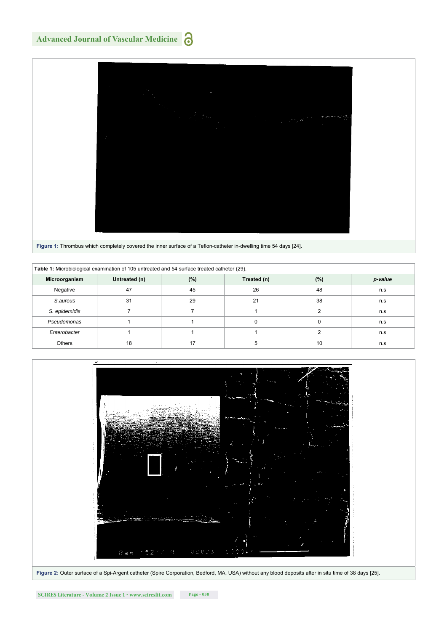## **Advanced Journal of Vascular Medicine**



|  |  | <b>There is informed which completely covered the limer surface of a Tenon-catheter in-awelling time of days [27].</b> |  |
|--|--|------------------------------------------------------------------------------------------------------------------------|--|
|  |  |                                                                                                                        |  |

| Table 1: Microbiological examination of 105 untreated and 54 surface treated catheter (29). |               |     |             |        |         |  |  |  |
|---------------------------------------------------------------------------------------------|---------------|-----|-------------|--------|---------|--|--|--|
| Microorganism                                                                               | Untreated (n) | (%) | Treated (n) | $(\%)$ | p-value |  |  |  |
| Negative                                                                                    | 47            | 45  | 26          | 48     | n.s     |  |  |  |
| S.aureus                                                                                    | 31            | 29  | 21          | 38     | n.s     |  |  |  |
| S. epidemidis                                                                               |               |     |             |        | n.s     |  |  |  |
| Pseudomonas                                                                                 |               |     |             |        | n.s     |  |  |  |
| Enterobacter                                                                                |               |     |             |        | n.s     |  |  |  |
| Others                                                                                      | 18            | 17  | 5           | 10     | n.s     |  |  |  |

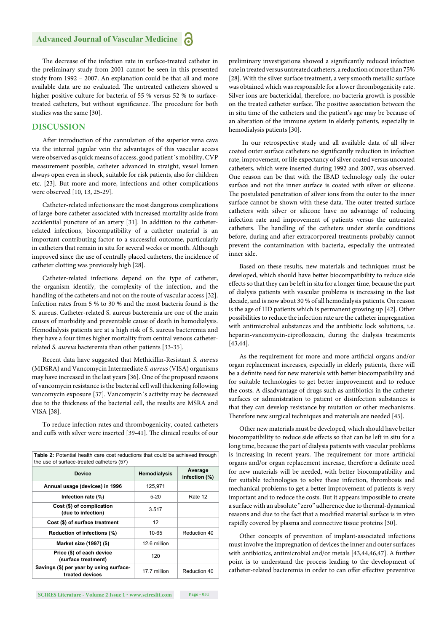The decrease of the infection rate in surface-treated catheter in the preliminary study from 2001 cannot be seen in this presented study from 1992 – 2007. An explanation could be that all and more available data are no evaluated. The untreated catheters showed a higher positive culture for bacteria of 55 % versus 52 % to surfacetreated catheters, but without significance. The procedure for both studies was the same [30].

#### **DISCUSSION**

After introduction of the cannulation of the superior vena cava via the internal jugular vein the advantages of this vascular access were observed as quick means of access, good patient´s mobility, CVP measurement possible, catheter advanced in straight, vessel lumen always open even in shock, suitable for risk patients, also for children etc. [23]. But more and more, infections and other complications were observed [10, 13, 25-29].

Catheter-related infections are the most dangerous complications of large-bore catheter associated with increased mortality aside from accidential puncture of an artery [31]. In addition to the catheterrelated infections, biocompatibility of a catheter material is an important contributing factor to a successful outcome, particularly in catheters that remain in situ for several weeks or month. Although improved since the use of centrally placed catheters, the incidence of catheter clotting was previously high [28].

Catheter-related infections depend on the type of catheter, the organism identify, the complexity of the infection, and the handling of the catheters and not on the route of vascular access [32]. Infection rates from 5 % to 30 % and the most bacteria found is the S. aureus. Catheter-related S. aureus bacteremia are one of the main causes of morbidity and preventable cause of death in hemodialysis. Hemodialysis patients are at a high risk of S. aureus bacteremia and they have a four times higher mortality from central venous catheterrelated *S. aureus* bacteremia than other patients [33-35].

Recent data have suggested that Methicillin-Resistant *S. aureus* (MDSRA) and Vancomycin Intermediate *S. aureus* (VISA) organisms may have increased in the last years [36]. One of the proposed reasons of vancomycin resistance is the bacterial cell wall thickening following vancomycin exposure [37]. Vancomycin´s activity may be decreased due to the thickness of the bacterial cell, the results are MSRA and VISA [38].

To reduce infection rates and thrombogenicity, coated catheters and cuffs with silver were inserted [39-41]. The clinical results of our

| <b>Table 2:</b> Potential health care cost reductions that could be achieved through<br>the use of surface-treated catheters (57) |                     |                          |  |  |  |
|-----------------------------------------------------------------------------------------------------------------------------------|---------------------|--------------------------|--|--|--|
| <b>Device</b>                                                                                                                     | <b>Hemodialysis</b> | Average<br>infection (%) |  |  |  |
| Annual usage (devices) in 1996                                                                                                    | 125,971             |                          |  |  |  |
| Infection rate (%)                                                                                                                | $5-20$              | Rate 12                  |  |  |  |
| Cost (\$) of complication<br>(due to infection)                                                                                   | 3.517               |                          |  |  |  |
| Cost (\$) of surface treatment                                                                                                    | $12 \overline{ }$   |                          |  |  |  |
| Reduction of infections (%)                                                                                                       | $10 - 65$           | Reduction 40             |  |  |  |
| Market size (1997) (\$)                                                                                                           | 12.6 million        |                          |  |  |  |
| Price (\$) of each device<br>(surface treatment)                                                                                  | 120                 |                          |  |  |  |
| Savings (\$) per year by using surface-<br>treated devices                                                                        | 17.7 million        | Reduction 40             |  |  |  |

preliminary investigations showed a significantly reduced infection rate in treated versus untreated catheters, a reduction of more than 75% [28]. With the silver surface treatment, a very smooth metallic surface was obtained which was responsible for a lower thrombogenicity rate. Silver ions are bactericidal, therefore, no bacteria growth is possible on the treated catheter surface. The positive association between the in situ time of the catheters and the patient's age may be because of an alteration of the immune system in elderly patients, especially in hemodialysis patients [30].

 In our retrospective study and all available data of all silver coated outer surface catheters no significantly reduction in infection rate, improvement, or life expectancy of silver coated versus uncoated catheters, which were inserted during 1992 and 2007, was observed. One reason can be that with the IBAD technology only the outer surface and not the inner surface is coated with silver or silicone. The postulated penetration of silver ions from the outer to the inner surface cannot be shown with these data. The outer treated surface catheters with silver or silicone have no advantage of reducing infection rate and improvement of patients versus the untreated catheters. The handling of the catheters under sterile conditions before, during and after extracorporeal treatments probably cannot prevent the contamination with bacteria, especially the untreated inner side.

Based on these results, new materials and techniques must be developed, which should have better biocompatibility to reduce side effects so that they can be left in situ for a longer time, because the part of dialysis patients with vascular problems is increasing in the last decade, and is now about 30 % of all hemodialysis patients. On reason is the age of HD patients which is permanent growing up [42]. Other possibilities to reduce the infection rate are the catheter impregnation with antimicrobial substances and the antibiotic lock solutions, i.e. heparin-vancomycin-ciprofloxacin, during the dialysis treatments [43,44].

As the requirement for more and more artificial organs and/or organ replacement increases, especially in elderly patients, there will be a definite need for new materials with better biocompatibility and for suitable technologies to get better improvement and to reduce the costs. A disadvantage of drugs such as antibiotics in the catheter surfaces or administration to patient or disinfection substances is that they can develop resistance by mutation or other mechanisms. Therefore new surgical techniques and materials are needed [45].

Other new materials must be developed, which should have better biocompatibility to reduce side effects so that can be left in situ for a long time, because the part of dialysis patients with vascular problems is increasing in recent years. The requirement for more artificial organs and/or organ replacement increase, therefore a definite need for new materials will be needed, with better biocompatibility and for suitable technologies to solve these infection, thrombosis and mechanical problems to get a better improvement of patients is very important and to reduce the costs. But it appears impossible to create a surface with an absolute "zero" adherence due to thermal-dynamical reasons and due to the fact that a modified material surface is in vivo rapidly covered by plasma and connective tissue proteins [30].

Other concepts of prevention of implant-associated infections must involve the impregnation of devices the inner and outer surfaces with antibiotics, antimicrobial and/or metals [43,44,46,47]. A further point is to understand the process leading to the development of catheter-related bacteremia in order to can offer effective preventive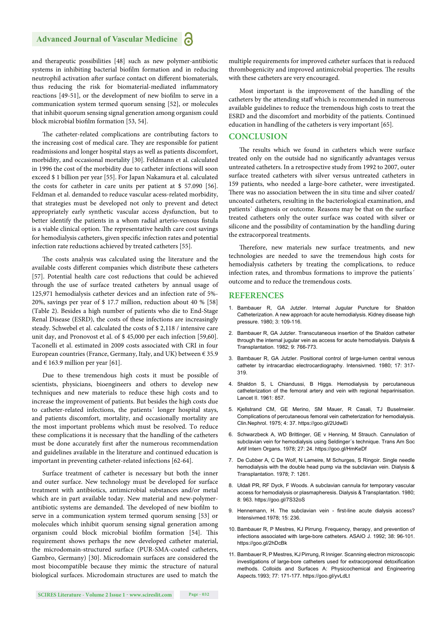and therapeutic possibilities [48] such as new polymer-antibiotic systems in inhibiting bacterial biofilm formation and in reducing neutrophil activation after surface contact on different biomaterials, thus reducing the risk for biomaterial-mediated inflammatory reactions [49-51], or the development of new biofilm to serve in a communication system termed quorum sensing [52], or molecules that inhibit quorum sensing signal generation among organism could block microbial biofilm formation [53, 54].

The catheter-related complications are contributing factors to the increasing cost of medical care. They are responsible for patient readmissions and longer hospital stays as well as patients discomfort, morbidity, and occasional mortality [30]. Feldmann et al. calculated in 1996 the cost of the morbidity due to catheter infections will soon exceed \$ 1 billion per year [55]. For Japan Nakamura et al. calculated the costs for catheter in care units per patient at \$ 57.090 [56]. Feldman et al. demanded to reduce vascular acess-related morbidity, that strategies must be developed not only to prevent and detect appropriately early synthetic vascular access dysfunction, but to better identify the patients in a whom radial arterio-venous fistula is a viable clinical option. The representative health care cost savings for hemodialysis catheters, given specific infection rates and potential infection rate reductions achieved by treated catheters [55].

The costs analysis was calculated using the literature and the available costs different companies which distribute these catheters [57]. Potential health care cost reductions that could be achieved through the use of surface treated catheters by annual usage of 125,971 hemodialysis catheter devices and an infection rate of 5%- 20%, savings per year of \$ 17.7 million, reduction about 40 % [58] (Table 2). Besides a high number of patients who die to End-Stage Renal Disease (ESRD), the costs of these infections are increasingly steady. Schwebel et al. calculated the costs of \$ 2,118 / intensive care unit day, and Pronovost et al. of \$ 45,000 per each infection [59,60]. Taconelli et al. estimated in 2009 costs associated with CRI in four European countries (France, Germany, Italy, and UK) between  $\epsilon$  35.9 and  $\in$  163.9 million per year [61].

Due to these tremendous high costs it must be possible of scientists, physicians, bioengineers and others to develop new techniques and new materials to reduce these high costs and to increase the improvement of patients. But besides the high costs due to catheter-related infections, the patients´ longer hospital stays, and patients discomfort, mortality, and occasionally mortality are the most important problems which must be resolved. To reduce these complications it is necessary that the handling of the catheters must be done accurately first after the numerous recommendation and guidelines available in the literature and continued education is important in preventing catheter-related infections [62-64].

Surface treatment of catheter is necessary but both the inner and outer surface. New technology must be developed for surface treatment with antibiotics, antimicrobial substances and/or metal which are in part available today. New material and new-polymerantibiotic systems are demanded. The developed of new biofilm to serve in a communication system termed quorum sensing [53] or molecules which inhibit quorum sensing signal generation among organism could block microbial biofilm formation [54]. This requirement shows perhaps the new developed catheter material, the microdomain-structured surface (PUR-SMA-coated catheters, Gambro, Germany) [30]. Microdomain surfaces are considered the most biocompatible because they mimic the structure of natural biological surfaces. Microdomain structures are used to match the multiple requirements for improved catheter surfaces that is reduced thrombogenicity and improved antimicrobial properties. The results with these catheters are very encouraged.

Most important is the improvement of the handling of the catheters by the attending staff which is recommended in numerous available guidelines to reduce the tremendous high costs to treat the ESRD and the discomfort and morbidity of the patients. Continued education in handling of the catheters is very important [65].

#### **CONCLUSION**

The results which we found in catheters which were surface treated only on the outside had no significantly advantages versus untreated catheters. In a retrospective study from 1992 to 2007, outer surface treated catheters with silver versus untreated catheters in 159 patients, who needed a large-bore catheter, were investigated. There was no association between the in situ time and silver coated/ uncoated catheters, resulting in the bacteriological examination, and patients` diagnosis or outcome. Reasons may be that on the surface treated catheters only the outer surface was coated with silver or silicone and the possibility of contamination by the handling during the extracorporeal treatments.

Therefore, new materials new surface treatments, and new technologies are needed to save the tremendous high costs for hemodialysis catheters by treating the complications, to reduce infection rates, and thrombus formations to improve the patients´ outcome and to reduce the tremendous costs.

#### **REFERENCES**

- 1. Bambauer R, GA Jutzler. Internal Jugular Puncture for Shaldon Catheterization. A new approach for acute hemodialysis. Kidney disease high pressure. 1980; 3: 109-116.
- 2. Bambauer R, GA Jutzler. Transcutaneous insertion of the Shaldon catheter through the internal jugular vein as access for acute hemodialysis. Dialysis & Transplantation. 1982; 9: 766-773.
- 3. Bambauer R, GA Jutzler. Positional control of large-lumen central venous catheter by intracardiac electrocardiography. Intensivmed. 1980; 17: 317- 319.
- 4. Shaldon S, L Chiandussi, B Higgs. Hemodialysis by percutaneous catheterization of the femoral artery and vein with regional heparinisation. Lancet II. 1961: 857.
- 5. Kjellstrand CM, GE Merino, SM Mauer, R Casali, TJ Buselmeier. Complications of percutaneous femoral vein catheterization for hemodialysis. Clin.Nephrol. 1975; 4: 37. https://goo.gl/2UdwEi
- 6. Schwarzbeck A, WD Brittinger, GE v Henning, M Strauch. Cannulation of subclavian vein for hemodialysis using Seldinger´s technique. Trans Am Soc Artif Intern Organs. 1978; 27: 24. https://goo.gl/HmKeDf
- 7. De Cubber A, C De Wolf, N Lameire, M Schurges, S Ringoir. Single needle hemodialysis with the double head pump via the subclavian vein. Dialysis & Transplantation. 1978; 7: 1261.
- 8. Uldall PR, RF Dyck, F Woods. A subclavian cannula for temporary vascular access for hemodialysis or plasmapheresis. Dialysis & Transplantation. 1980; 8: 963. https://goo.gl/7S32oS
- 9. Hennemann, H. The subclavian vein first-line acute dialysis access? Intensivmed.1978; 15: 236.
- 10. Bambauer R, P Mestres, KJ Pirrung. Frequency, therapy, and prevention of infections associated with large-bore catheters. ASAIO J. 1992; 38: 96-101. https://goo.gl/2hDcBk
- 11. Bambauer R, P Mestres, KJ Pirrung, R Inniger. Scanning electron microscopic investigations of large-bore catheters used for extracorporeal detoxification methods. Colloids and Surfaces A: Physicochemical and Engineering Aspects.1993; 77: 171-177. https://goo.gl/yvLdLt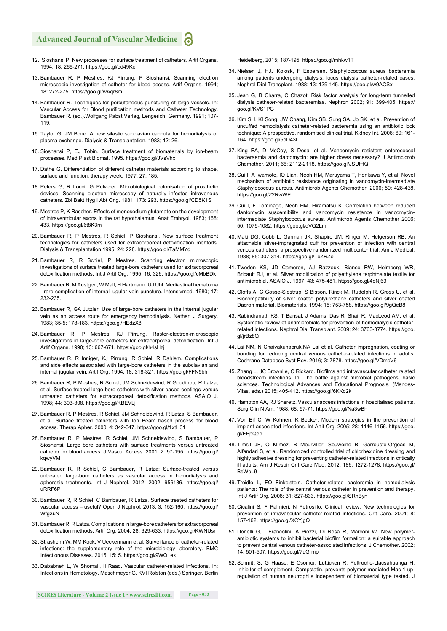#### **Advanced Journal of Vascular Medicine**

- 12. Sioshansi P. New processes for surface treatment of catheters. Artif Organs. 1994; 18: 266-271. https://goo.gl/od49Kc
- 13. Bambauer R, P Mestres, KJ Pirrung, P Sioshansi. Scanning electron microscopic investigation of catheter for blood access. Artif Organs. 1994; 18: 272-275. https://goo.gl/wAqr8m
- 14. Bambauer R. Techniques for percutaneous puncturing of large vessels. In: Vascular Access for Blood purification methods and Catheter Technology. Bambauer R. (ed.).Wolfgang Pabst Verlag, Lengerich, Germany. 1991; 107- 119.
- 15. Taylor G, JM Bone. A new silastic subclavian cannula for hemodialysis or plasma exchange. Dialysis & Transplantation. 1983; 12: 26.
- 16. Sioshansi P, EJ Tobin. Surface treatment of biomaterials by ion-beam processes. Med Plast Biomat. 1995. https://goo.gl/JVsVhx
- 17. Dathe G. Differentiation of different catheter materials according to shape, surface and function. therapy week. 1977; 27: 185.
- 18. Peters G, R Locci, G Pulverer. Microbiological colonisation of prosthetic devices. Scanning electron microscopy of naturally infected intravenous catheters. Zbl Bakt Hyg I Abt Orig. 1981; 173: 293. https://goo.gl/CD5K1S
- 19. Mestres P, K Rascher. Effects of monosodium glutamate on the development of intraventricular axons in the rat hypothalamus. Anat Embryol. 1983; 168: 433. https://goo.gl/6t8K3m
- 20. Bambauer R, P Mestres, R Schiel, P Sioshansi. New surface treatment technologies for catheters used for extracorporeal detoxification mehtods. Dialysis & Transplantation.1995; 24: 228. https://goo.gl/TaMMYd
- 21. Bambauer R, R Schiel, P Mestres. Scanning electron microscopic investigations of surface treated large-bore catheters used for extracorporeal detoxification methods. Int J Artif Org. 1995; 16: 326. https://goo.gl/cMbBDk
- 22. Bambauer R, M Austgen, W Mall, H Hartmann, UJ Uhl. Mediastinal hematoma - rare complication of internal jugular vein puncture. Intensivmed. 1980; 17: 232-235.
- 23. Bambauer R, GA Jutzler. Use of large-bore catheters in the internal jugular vein as an access route for emergency hemodialysis. Netherl J Surgery. 1983; 35-5: 178-183. https://goo.gl/HEdzX8
- 24. Bambauer R, P Mestres, KJ Pirrung. Raster-electron-microscopic investigations in large-bore catheters for extracorporeal detoxification. Int J Artif Organs. 1990; 13: 667-671. https://goo.gl/h4sHzj
- 25. Bambauer R, R Inniger, KJ Pirrung, R Schiel, R Dahlem. Complications and side effects associated with large-bore catheters in the subclavian and internal jugular vein. Artif Org. 1994; 18: 318-321. https://goo.gl/FFN5bh
- 26. Bambauer R, P Mestres, R Schiel, JM Schneidewind, R Goudinou, R Latza, et al. Surface treated large-bore catheters with silver based coatings versus untreated catheters for extracorporeal detoxification methods. ASAIO J. 1998; 44: 303-308. https://goo.gl/KBEVLj
- 27. Bambauer R, P Mestres, R Schiel, JM Schneidewind, R Latza, S Bambauer, et al. Surface treated catheters with Ion Beam based process for blood access. Therap Apher. 2000; 4: 342-347. https://goo.gl/1xtH31
- 28. Bambauer R, P. Mestres, R. Schiel, JM Schneidewind, S. Bambauer, P. Sioshansi. Large bore catheters with surface treatments versus untreated catheter for blood access. J Vascul Access. 2001; 2: 97-195. https://goo.gl/ kqwyVM
- 29. Bambauer R, R Schiel, C Bambauer, R Latza: Surface-treated versus untreated large-bore catheters as vascular access in hemodialysis and apheresis treatments. Int J Nephrol. 2012; 2002: 956136. https://goo.gl/ uRRF6P
- 30. Bambauer R, R Schiel, C Bambauer, R Latza. Surface treated catheters for vascular access – useful? Open J Nephrol. 2013; 3: 152-160. https://goo.gl/ Wfg3uN
- 31. Bambauer R, R Latza. Complications in large-bore catheters for extracorporeal detoxification methods. Artif Org. 2004; 28: 629-633. https://goo.gl/KWNUsr
- 32. Strasheim W, MM Kock, V Ueckermann et al. Surveillance of catheter-related infections: the supplementary role of the microbiology laboratory. BMC Infectionous Diseases. 2015; 15: 5. https://goo.gl/9WQ1ek
- 33. Dababneh L, W Shomali, II Raad. Vascular catheter-related Infections. In: Infections in Hematology, Maschmeyer G, KVI Rolston (eds.) Springer, Berlin

Heidelberg, 2015; 187-195. https://goo.gl/mhkw1T

- 34. Nielsen J, HJJ Kolosk, F Espersen. Staphylococcus aureus bacteremia among patients undergoing dialysis: focus dialysis catheter-related cases. Nephrol Dial Transplant. 1988; 13: 139-145. https://goo.gl/w9ACSx
- 35. Jean G, B Charra, C Chazot. Risk factor analysis for long-term tunnelled dialysis catheter-related bacteremias. Nephron 2002; 91: 399-405. https:// goo.gl/KVS1PG
- 36. Kim SH, KI Song, JW Chang, Kim SB, Sung SA, Jo SK, et al. Prevention of uncuffed hemodialysis catheter-related bacteremia using an antibiotic lock technique: A prospective, randomised clinical trial. Kidney Int. 2006; 69: 161- 164. https://goo.gl/5oD43L
- 37. King EA, D McCoy, S Desai et al. Vancomycin resistant enterococcal bacteraemia and daptomycin: are higher doses necessary? J Antimcicrob Chemother. 2011; 66: 2112-2118. https://goo.gl/JSUfHQ
- 38. Cui I, A Iwamoto, IO Lian, Neoh HM, Maruyama T, Horikawa Y, et al. Novel mechanism of antibiotic resistance originating in vancomycin-intermediate Staphylococcus aureus. Antimicrob Agents Chemother. 2006; 50: 428-438. https://goo.gl/Z2RwWE
- 39. Cui I, F Tominage, Neoh HM, Hiramatsu K. Correlation between reduced dantomycin suscentibility and vancomycin resistance in vancomycinintermediate Staphylococcus aureus. Antimicrob Agents Chemother 2006; 50: 1079-1082. https://goo.gl/qVQ2Lm
- 40. Maki DG, Cobb L, Garman JK, Shapiro JM, Ringer M, Helgerson RB. An attachable silver-impregnated cuff for prevention of infection with central venous catheters: a prospective randomized multicenter trial. Am J Medical. 1988; 85: 307-314. https://goo.gl/ToZRZo
- 41. Tweden KS, JD Cameron, AJ Razzouk, Bianco RW, Holmberg WR, Bricault RJ, et al. Silver modification of polyethylene terphthalate textile for antimicrobial. ASAIO J. 1997; 43: 475-481. https://goo.gl/4qNj63
- 42. Oloffs A, C Gosse-Siestrup, S Bisson, Rinck M, Rudolph R, Gross U, et al. Biocompatibility of silver coated polyurethane catheters and silver coated Dacron material. Biomaterials. 1994; 15: 753-758. https://goo.gl/9gQeB8
- 43. Rabindranath KS, T Bansal, J Adams, Das R, Shail R, MacLeod AM, et al. Systematic review of antimicrobials for prevention of hemodialysis catheterrelated infections. Nephrol Dial Transplant. 2009; 24: 3763-3774. https://goo. gl/jrBz8Q
- 44. Lai NM, N Chaivakunapruk,NA Lai et al. Catheter impregnation, coating or bonding for reducing central venous catheter-related infections in adults. Cochrane Database Syst Rev. 2016; 3: 7878. https://goo.gl/VDmcV6
- 45. Zhang L, JC Brownlie, C Rickard. Biofilms and intravascular catheter related bloodstream infections. In: The battle against microbial pathogens, basic sciences. Technological Advances and Educational Prognosis, (Mendes-Vilas, eds.) 2015; 405-412. https://goo.gl/6KKq2k
- 46. Hampton AA, RJ Sheretz. Vascular access infections in hospitalised patients. Surg Clin N Am. 1988; 68: 57-71. https://goo.gl/Na3wBh
- 47. Von Eif C, W Kohnen, K Becker. Modern strategies in the prevention of implant-associated infections. Int Artif Org. 2005; 28: 1146-1156. https://goo. gl/FPpQeb
- 48. Timsit JF, O Mimoz, B Mourviller, Souweine B, Garrouste-Orgeas M, Alfandari S, et al. Randomized controlled trial of chlorhexidine dressing and highly adhesive dressing for preventing catheter-related infections in critically ill adults. Am J Respir Crit Care Med. 2012; 186: 1272-1278. https://goo.gl/ BsWhl 9
- 49. Troidle L, FO Finkelstein. Catheter-related bacteremia in hemodialysis patients: The role of the central venous catheter in prevention and therapy. Int J Artif Org. 2008; 31: 827-833. https://goo.gl/SRnByn
- 50. Cicalini S, F Palmieri, N Petrosillo. Clinical review: New technologies for prevention of intravascular catheter-related infections. Crit Care. 2004; 8: 157-162. https://goo.gl/XCYjgQ
- 51. Donelli G, I Francolini, A Piozzi, Di Rosa R, Marconi W. New polymerantibiotic systems to inhibit bacterial biofilm formation: a suitable approach to prevent central venous catheter-associated infections. J Chemother. 2002; 14: 501-507. https://goo.gl/7uGrmp
- 52. Schmitt S, G Haase, E Csomor, Lütticken R, Peltroche-Llacsahuanga H. Inhibitor of complement, Compstatin, prevents polymer-mediated Mac-1 upregulation of human neutrophils independent of biomaterial type tested. J